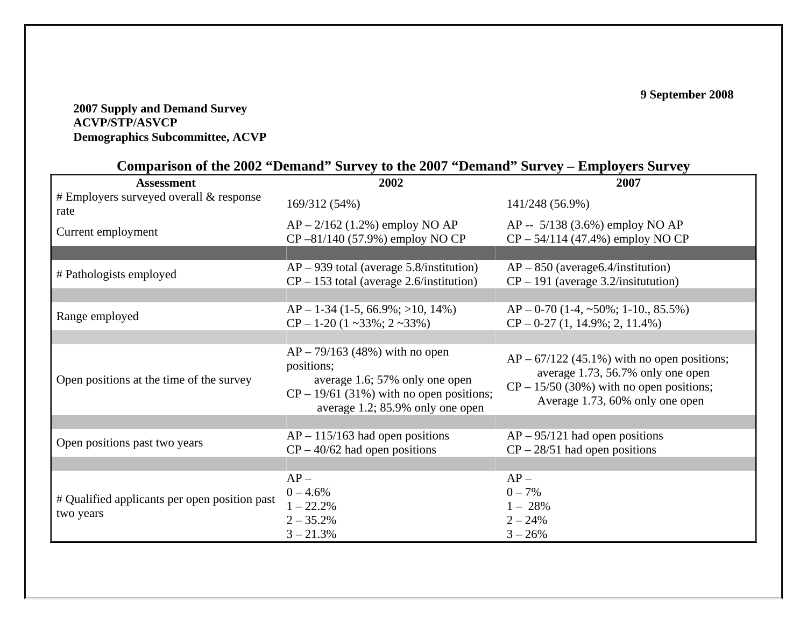## **9 September 2008**

## **2007 Supply and Demand Survey ACVP/STP/ASVCP Demographics Subcommittee, ACVP**

## **Comparison of the 2002 "Demand" Survey to the 2007 "Demand" Survey – Employers Survey**

| <b>Assessment</b>                                   | 2002                                                                                                                                                               | 2007                                                                                                                                                                |
|-----------------------------------------------------|--------------------------------------------------------------------------------------------------------------------------------------------------------------------|---------------------------------------------------------------------------------------------------------------------------------------------------------------------|
| $#$ Employers surveyed overall $&$ response<br>rate | 169/312 (54%)                                                                                                                                                      | 141/248 (56.9%)                                                                                                                                                     |
| Current employment                                  | $AP - 2/162$ (1.2%) employ NO AP<br>$CP - 81/140$ (57.9%) employ NO CP                                                                                             | AP -- $5/138$ (3.6%) employ NO AP<br>$CP - 54/114$ (47.4%) employ NO CP                                                                                             |
|                                                     |                                                                                                                                                                    |                                                                                                                                                                     |
| # Pathologists employed                             | $AP - 939$ total (average 5.8/institution)<br>$CP - 153$ total (average 2.6/institution)                                                                           | $AP - 850$ (average 6.4/institution)<br>$CP - 191$ (average 3.2/insitutution)                                                                                       |
|                                                     |                                                                                                                                                                    |                                                                                                                                                                     |
| Range employed                                      | $AP - 1-34$ (1-5, 66.9%; >10, 14%)<br>$CP - 1-20$ (1 ~33%; 2 ~33%)                                                                                                 | $AP - 0-70$ (1-4, ~50%; 1-10., 85.5%)<br>$CP - 0-27$ (1, 14.9%; 2, 11.4%)                                                                                           |
|                                                     |                                                                                                                                                                    |                                                                                                                                                                     |
| Open positions at the time of the survey            | $AP - 79/163$ (48%) with no open<br>positions;<br>average 1.6; 57% only one open<br>$CP - 19/61$ (31%) with no open positions;<br>average 1.2; 85.9% only one open | $AP - 67/122$ (45.1%) with no open positions;<br>average 1.73, 56.7% only one open<br>$CP - 15/50$ (30%) with no open positions;<br>Average 1.73, 60% only one open |
|                                                     |                                                                                                                                                                    |                                                                                                                                                                     |
| Open positions past two years                       | $AP - 115/163$ had open positions<br>$CP - 40/62$ had open positions                                                                                               | $AP - 95/121$ had open positions<br>$CP - 28/51$ had open positions                                                                                                 |
|                                                     |                                                                                                                                                                    |                                                                                                                                                                     |
|                                                     | $AP -$                                                                                                                                                             | $AP -$                                                                                                                                                              |
| # Qualified applicants per open position past       | $0 - 4.6\%$                                                                                                                                                        | $0 - 7%$                                                                                                                                                            |
| two years                                           | $1 - 22.2%$                                                                                                                                                        | $1 - 28%$                                                                                                                                                           |
|                                                     | $2 - 35.2%$                                                                                                                                                        | $2 - 24%$                                                                                                                                                           |
|                                                     | $3 - 21.3%$                                                                                                                                                        | $3 - 26%$                                                                                                                                                           |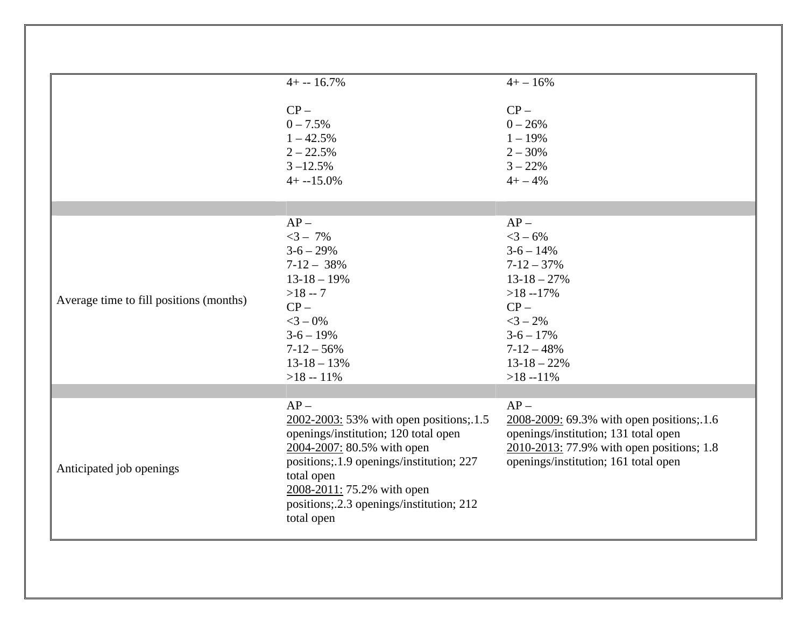|                                         | $4+ - 16.7%$                             | $4+ - 16%$                                |
|-----------------------------------------|------------------------------------------|-------------------------------------------|
|                                         |                                          |                                           |
|                                         | $CP -$                                   | $CP -$                                    |
|                                         | $0 - 7.5%$                               | $0 - 26%$                                 |
|                                         | $1 - 42.5%$                              | $1 - 19%$                                 |
|                                         | $2 - 22.5%$                              | $2 - 30%$                                 |
|                                         | $3 - 12.5%$                              | $3 - 22%$                                 |
|                                         | $4+ -15.0%$                              | $4+ - 4%$                                 |
|                                         |                                          |                                           |
|                                         | $AP -$                                   | $AP -$                                    |
|                                         | $<3 - 7\%$                               | $<$ 3 – 6%                                |
|                                         | $3 - 6 - 29%$                            | $3-6 - 14%$                               |
|                                         | $7-12-38%$                               | $7 - 12 - 37%$                            |
|                                         | $13 - 18 - 19%$                          | $13 - 18 - 27%$                           |
|                                         | $>18 - 7$                                | $>18 - 17\%$                              |
| Average time to fill positions (months) | $CP -$                                   | $CP -$                                    |
|                                         | $<$ 3 - 0%                               | $<3 - 2\%$                                |
|                                         | $3 - 6 - 19%$                            | $3 - 6 - 17%$                             |
|                                         | $7-12-56%$                               | $7 - 12 - 48%$                            |
|                                         | $13-18-13%$                              | $13 - 18 - 22%$                           |
|                                         | $>18 - 11\%$                             | $>18 - 11\%$                              |
|                                         |                                          |                                           |
|                                         | $AP -$                                   | $AP -$                                    |
|                                         | 2002-2003: 53% with open positions; 1.5  | 2008-2009: 69.3% with open positions; 1.6 |
|                                         | openings/institution; 120 total open     | openings/institution; 131 total open      |
|                                         | 2004-2007: 80.5% with open               | 2010-2013: 77.9% with open positions; 1.8 |
|                                         | positions; 1.9 openings/institution; 227 | openings/institution; 161 total open      |
| Anticipated job openings                | total open                               |                                           |
|                                         | 2008-2011: 75.2% with open               |                                           |
|                                         | positions; 2.3 openings/institution; 212 |                                           |
|                                         | total open                               |                                           |
|                                         |                                          |                                           |
|                                         |                                          |                                           |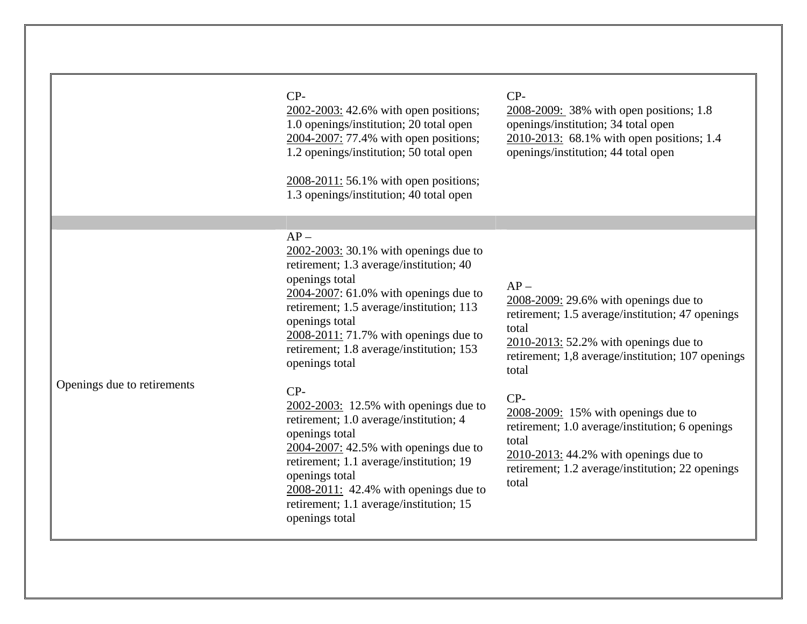|                             | $CP-$<br>2002-2003: 42.6% with open positions;<br>1.0 openings/institution; 20 total open<br>2004-2007: 77.4% with open positions;<br>1.2 openings/institution; 50 total open<br>$2008 - 2011$ : 56.1% with open positions;<br>1.3 openings/institution; 40 total open                                                               | CP-<br>2008-2009: 38% with open positions; 1.8<br>openings/institution; 34 total open<br>2010-2013: 68.1% with open positions; 1.4<br>openings/institution; 44 total open                                           |
|-----------------------------|--------------------------------------------------------------------------------------------------------------------------------------------------------------------------------------------------------------------------------------------------------------------------------------------------------------------------------------|---------------------------------------------------------------------------------------------------------------------------------------------------------------------------------------------------------------------|
|                             |                                                                                                                                                                                                                                                                                                                                      |                                                                                                                                                                                                                     |
| Openings due to retirements | $AP -$<br>$2002 - 2003$ : 30.1% with openings due to<br>retirement; 1.3 average/institution; 40<br>openings total<br>2004-2007: 61.0% with openings due to<br>retirement; 1.5 average/institution; 113<br>openings total<br>$2008 - 2011$ : 71.7% with openings due to<br>retirement; 1.8 average/institution; 153<br>openings total | $AP -$<br>2008-2009: 29.6% with openings due to<br>retirement; 1.5 average/institution; 47 openings<br>total<br>2010-2013: 52.2% with openings due to<br>retirement; 1,8 average/institution; 107 openings<br>total |
|                             | $CP-$<br>2002-2003: 12.5% with openings due to<br>retirement; 1.0 average/institution; 4<br>openings total<br>$2004 - 2007$ : 42.5% with openings due to<br>retirement; 1.1 average/institution; 19<br>openings total<br>2008-2011: 42.4% with openings due to<br>retirement; 1.1 average/institution; 15<br>openings total          | CP-<br>2008-2009: 15% with openings due to<br>retirement; 1.0 average/institution; 6 openings<br>total<br>$2010-2013$ : 44.2% with openings due to<br>retirement; 1.2 average/institution; 22 openings<br>total     |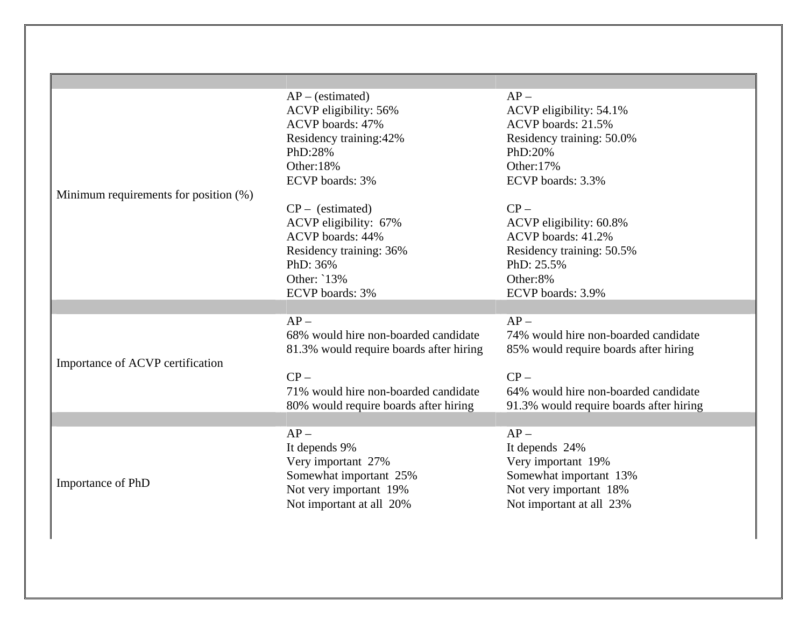|                                       | $AP - (estimated)$                                 | $AP -$                                             |
|---------------------------------------|----------------------------------------------------|----------------------------------------------------|
|                                       | ACVP eligibility: 56%                              | ACVP eligibility: 54.1%                            |
|                                       | ACVP boards: 47%                                   | ACVP boards: 21.5%                                 |
|                                       | Residency training: 42%                            | Residency training: 50.0%                          |
|                                       | PhD:28%                                            | PhD:20%                                            |
|                                       | Other:18%                                          | Other:17%                                          |
|                                       | ECVP boards: 3%                                    | ECVP boards: 3.3%                                  |
| Minimum requirements for position (%) |                                                    |                                                    |
|                                       | $CP - (estimated)$                                 | $CP -$                                             |
|                                       | ACVP eligibility: 67%                              | ACVP eligibility: 60.8%                            |
|                                       | ACVP boards: 44%                                   | ACVP boards: 41.2%                                 |
|                                       | Residency training: 36%                            | Residency training: 50.5%                          |
|                                       | PhD: 36%                                           | PhD: 25.5%                                         |
|                                       | Other: `13%                                        | Other:8%                                           |
|                                       | ECVP boards: 3%                                    | ECVP boards: 3.9%                                  |
|                                       |                                                    |                                                    |
|                                       |                                                    |                                                    |
|                                       | $AP -$                                             | $AP -$                                             |
|                                       | 68% would hire non-boarded candidate               | 74% would hire non-boarded candidate               |
|                                       | 81.3% would require boards after hiring            | 85% would require boards after hiring              |
| Importance of ACVP certification      |                                                    |                                                    |
|                                       | $CP -$                                             | $CP -$                                             |
|                                       | 71% would hire non-boarded candidate               | 64% would hire non-boarded candidate               |
|                                       | 80% would require boards after hiring              | 91.3% would require boards after hiring            |
|                                       |                                                    |                                                    |
|                                       | $AP -$                                             | $AP -$                                             |
|                                       | It depends 9%                                      | It depends 24%                                     |
|                                       | Very important 27%                                 | Very important 19%                                 |
| Importance of PhD                     | Somewhat important 25%                             | Somewhat important 13%                             |
|                                       | Not very important 19%<br>Not important at all 20% | Not very important 18%<br>Not important at all 23% |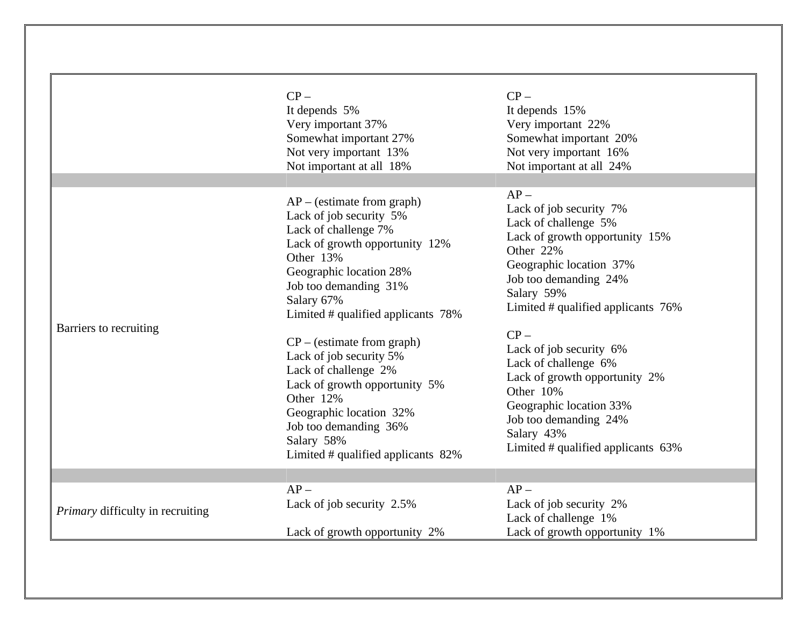| $CP -$                             | $CP -$                                                                                     |
|------------------------------------|--------------------------------------------------------------------------------------------|
| It depends 5%                      | It depends 15%                                                                             |
| Very important 37%                 | Very important 22%                                                                         |
| Somewhat important 27%             | Somewhat important 20%                                                                     |
| Not very important 13%             | Not very important 16%                                                                     |
| Not important at all 18%           | Not important at all 24%                                                                   |
| $AP - (estimate from graph)$       | $AP -$                                                                                     |
| Lack of job security 5%            | Lack of job security 7%                                                                    |
| Lack of challenge 7%               | Lack of challenge 5%                                                                       |
| Lack of growth opportunity 12%     | Lack of growth opportunity 15%                                                             |
| Other 13%                          | Other 22%                                                                                  |
| Geographic location 28%            | Geographic location 37%                                                                    |
| Job too demanding 31%              | Job too demanding 24%                                                                      |
| Salary 67%                         | Salary 59%                                                                                 |
| Limited # qualified applicants 78% | Limited # qualified applicants 76%                                                         |
| $CP - (estimate from graph)$       | $CP -$                                                                                     |
| Lack of job security 5%            | Lack of job security 6%                                                                    |
| Lack of challenge 2%               | Lack of challenge 6%                                                                       |
| Lack of growth opportunity 5%      | Lack of growth opportunity 2%                                                              |
| Other 12%                          | Other 10%                                                                                  |
| Geographic location 32%            | Geographic location 33%                                                                    |
| Job too demanding 36%              | Job too demanding 24%                                                                      |
| Salary 58%                         | Salary 43%                                                                                 |
| Limited # qualified applicants 82% | Limited # qualified applicants 63%                                                         |
|                                    |                                                                                            |
| Lack of job security 2.5%          | $AP -$<br>Lack of job security 2%<br>Lack of challenge 1%<br>Lack of growth opportunity 1% |
|                                    | $AP -$<br>Lack of growth opportunity 2%                                                    |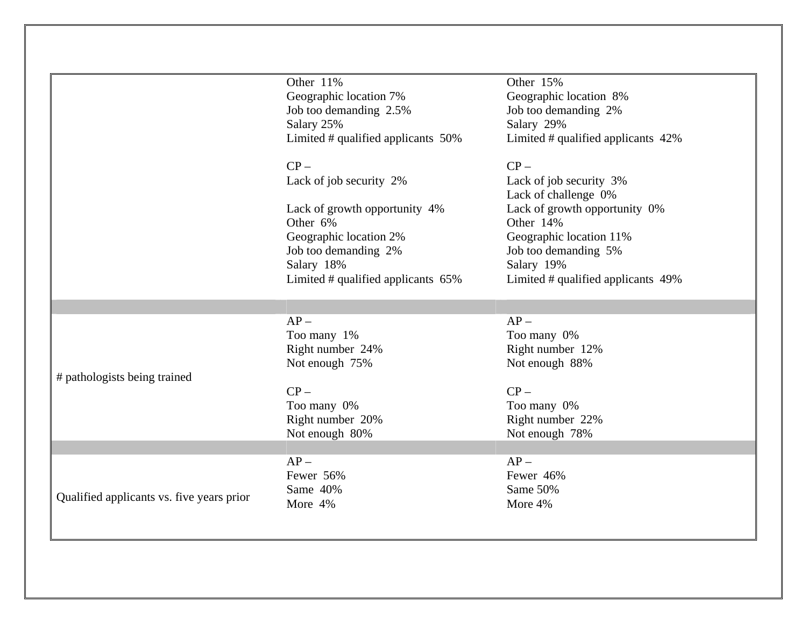|                                           | Other 11%                          | Other 15%                          |
|-------------------------------------------|------------------------------------|------------------------------------|
|                                           | Geographic location 7%             | Geographic location 8%             |
|                                           | Job too demanding 2.5%             | Job too demanding 2%               |
|                                           | Salary 25%                         | Salary 29%                         |
|                                           | Limited # qualified applicants 50% | Limited # qualified applicants 42% |
|                                           | $CP -$                             | $CP -$                             |
|                                           | Lack of job security 2%            | Lack of job security 3%            |
|                                           |                                    | Lack of challenge 0%               |
|                                           | Lack of growth opportunity 4%      | Lack of growth opportunity 0%      |
|                                           | Other 6%                           | Other 14%                          |
|                                           | Geographic location 2%             | Geographic location 11%            |
|                                           | Job too demanding 2%               | Job too demanding 5%               |
|                                           | Salary 18%                         | Salary 19%                         |
|                                           | Limited # qualified applicants 65% | Limited # qualified applicants 49% |
|                                           |                                    |                                    |
|                                           |                                    |                                    |
|                                           | $AP -$                             | $AP -$                             |
|                                           | Too many 1%                        | Too many 0%                        |
|                                           | Right number 24%                   | Right number 12%                   |
|                                           | Not enough 75%                     | Not enough 88%                     |
| # pathologists being trained              |                                    |                                    |
|                                           | $CP -$                             | $CP -$                             |
|                                           | Too many 0%                        | Too many 0%                        |
|                                           | Right number 20%                   | Right number 22%                   |
|                                           | Not enough 80%                     | Not enough 78%                     |
|                                           |                                    |                                    |
|                                           | $AP -$                             | $AP -$                             |
|                                           | Fewer 56%                          | Fewer 46%                          |
|                                           | Same 40%                           | Same 50%                           |
| Qualified applicants vs. five years prior | More 4%                            | More 4%                            |
|                                           |                                    |                                    |
|                                           |                                    |                                    |